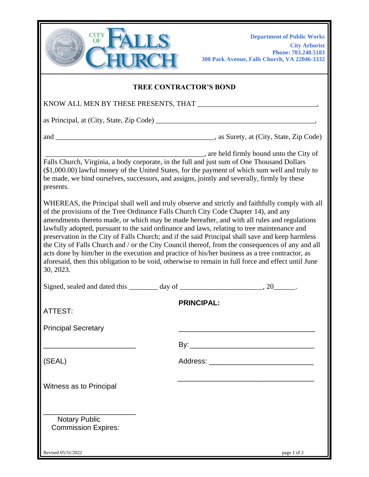

**Department of Public Works City Arborist Phone: 703.248.5183 300 Park Avenue, Falls Church, VA 22046-3332** 

## **TREE CONTRACTOR'S BOND**

KNOW ALL MEN BY THESE PRESENTS, THAT **with an article of the set of the set of the set of the set of the set of the set of the set of the set of the set of the set of the set of the set of the set of the set of the set of** 

as Principal, at  $(City, State, Zip Code)$ 

and \_\_\_\_\_\_\_\_\_\_\_\_\_\_\_\_\_\_\_\_\_\_\_\_\_\_\_\_\_\_\_\_\_\_\_\_\_\_\_\_\_\_\_\_, as Surety, at (City, State, Zip Code)

\_\_\_\_\_\_\_\_\_\_\_\_\_\_\_\_\_\_\_\_\_\_\_\_\_\_\_\_\_\_\_\_\_\_\_\_\_\_\_\_\_\_\_\_, are held firmly bound unto the City of Falls Church, Virginia, a body corporate, in the full and just sum of One Thousand Dollars (\$1,000.00) lawful money of the United States, for the payment of which sum well and truly to be made, we bind ourselves, successors, and assigns, jointly and severally, firmly by these presents.

WHEREAS, the Principal shall well and truly observe and strictly and faithfully comply with all of the provisions of the Tree Ordinance Falls Church City Code Chapter 14), and any amendments thereto made, or which may be made hereafter, and with all rules and regulations lawfully adopted, pursuant to the said ordinance and laws, relating to tree maintenance and preservation in the City of Falls Church; and if the said Principal shall save and keep harmless the City of Falls Church and / or the City Council thereof, from the consequences of any and all acts done by him/her in the execution and practice of his/her business as a tree contractor, as aforesaid, then this obligation to be void, otherwise to remain in full force and effect until June 30, 2023.

| ATTEST:                                            | <b>PRINCIPAL:</b> |             |
|----------------------------------------------------|-------------------|-------------|
| <b>Principal Secretary</b>                         |                   |             |
|                                                    |                   |             |
| (SEAL)                                             |                   |             |
| Witness as to Principal                            |                   |             |
| <b>Notary Public</b><br><b>Commission Expires:</b> |                   |             |
| Revised 05/31/2022                                 |                   | page 1 of 2 |